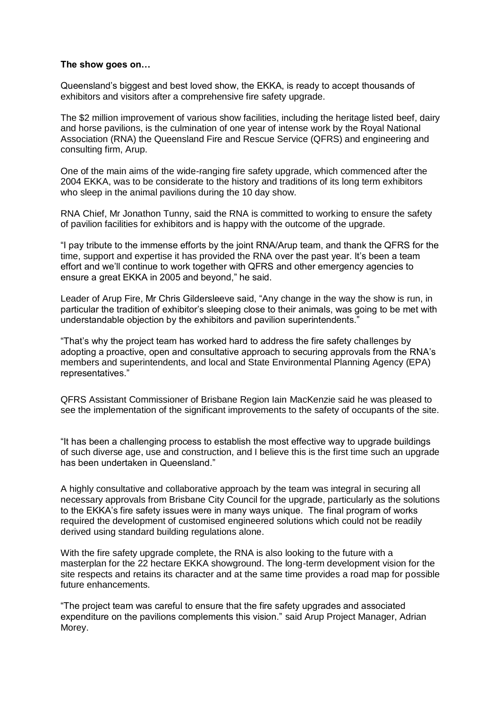## **The show goes on…**

Queensland's biggest and best loved show, the EKKA, is ready to accept thousands of exhibitors and visitors after a comprehensive fire safety upgrade.

The \$2 million improvement of various show facilities, including the heritage listed beef, dairy and horse pavilions, is the culmination of one year of intense work by the Royal National Association (RNA) the Queensland Fire and Rescue Service (QFRS) and engineering and consulting firm, Arup.

One of the main aims of the wide-ranging fire safety upgrade, which commenced after the 2004 EKKA, was to be considerate to the history and traditions of its long term exhibitors who sleep in the animal pavilions during the 10 day show.

RNA Chief, Mr Jonathon Tunny, said the RNA is committed to working to ensure the safety of pavilion facilities for exhibitors and is happy with the outcome of the upgrade.

"I pay tribute to the immense efforts by the joint RNA/Arup team, and thank the QFRS for the time, support and expertise it has provided the RNA over the past year. It's been a team effort and we'll continue to work together with QFRS and other emergency agencies to ensure a great EKKA in 2005 and beyond," he said.

Leader of Arup Fire, Mr Chris Gildersleeve said, "Any change in the way the show is run, in particular the tradition of exhibitor's sleeping close to their animals, was going to be met with understandable objection by the exhibitors and pavilion superintendents."

"That's why the project team has worked hard to address the fire safety challenges by adopting a proactive, open and consultative approach to securing approvals from the RNA's members and superintendents, and local and State Environmental Planning Agency (EPA) representatives."

QFRS Assistant Commissioner of Brisbane Region Iain MacKenzie said he was pleased to see the implementation of the significant improvements to the safety of occupants of the site.

"It has been a challenging process to establish the most effective way to upgrade buildings of such diverse age, use and construction, and I believe this is the first time such an upgrade has been undertaken in Queensland."

A highly consultative and collaborative approach by the team was integral in securing all necessary approvals from Brisbane City Council for the upgrade, particularly as the solutions to the EKKA's fire safety issues were in many ways unique. The final program of works required the development of customised engineered solutions which could not be readily derived using standard building regulations alone.

With the fire safety upgrade complete, the RNA is also looking to the future with a masterplan for the 22 hectare EKKA showground. The long-term development vision for the site respects and retains its character and at the same time provides a road map for possible future enhancements.

"The project team was careful to ensure that the fire safety upgrades and associated expenditure on the pavilions complements this vision." said Arup Project Manager, Adrian Morey.